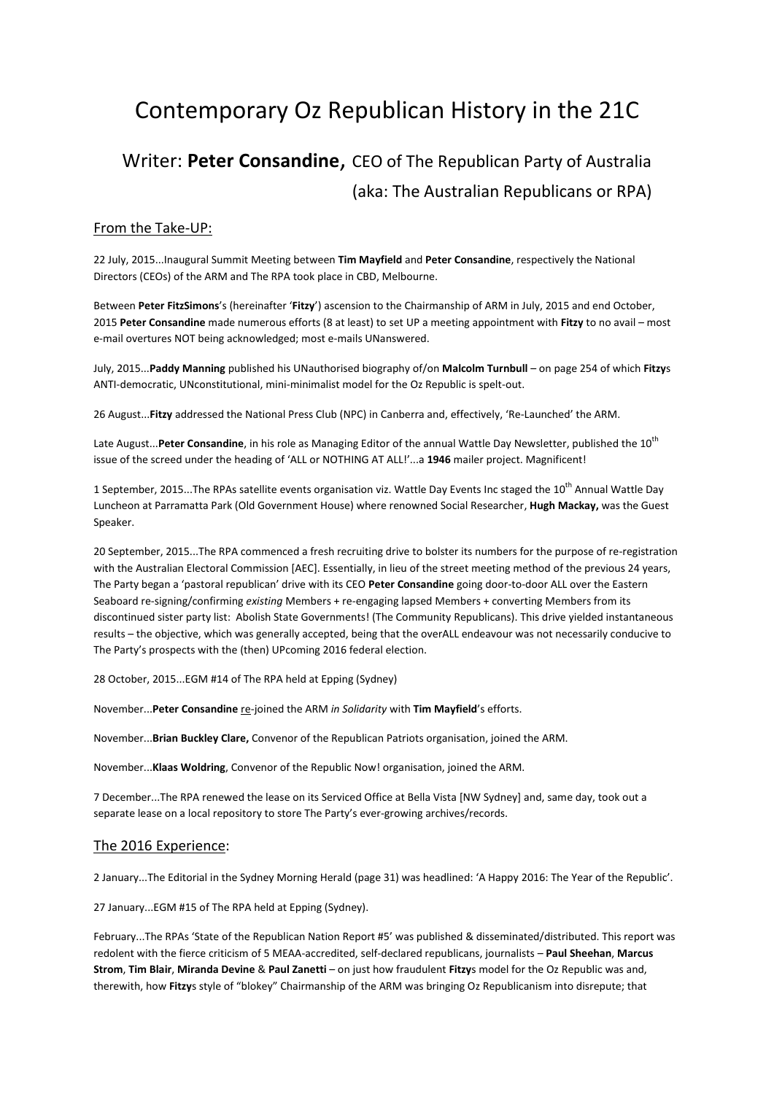# Contemporary Oz Republican History in the 21C

## Writer: **Peter Consandine**, CEO of The Republican Party of Australia (aka: The Australian Republicans or RPA)

### From the Take-UP:

22 July, 2015...Inaugural Summit Meeting between **Tim Mayfield** and **Peter Consandine**, respectively the National Directors (CEOs) of the ARM and The RPA took place in CBD, Melbourne.

Between **Peter FitzSimons**'s (hereinafter '**Fitzy**') ascension to the Chairmanship of ARM in July, 2015 and end October, 2015 **Peter Consandine** made numerous efforts (8 at least) to set UP a meeting appointment with **Fitzy** to no avail – most e-mail overtures NOT being acknowledged; most e-mails UNanswered.

July, 2015...**Paddy Manning** published his UNauthorised biography of/on **Malcolm Turnbull** – on page 254 of which **Fitzy**s ANTI-democratic, UNconstitutional, mini-minimalist model for the Oz Republic is spelt-out.

26 August...**Fitzy** addressed the National Press Club (NPC) in Canberra and, effectively, 'Re-Launched' the ARM.

Late August...Peter Consandine, in his role as Managing Editor of the annual Wattle Day Newsletter, published the 10<sup>th</sup> issue of the screed under the heading of 'ALL or NOTHING AT ALL!'...a **1946** mailer project. Magnificent!

1 September, 2015...The RPAs satellite events organisation viz. Wattle Day Events Inc staged the 10<sup>th</sup> Annual Wattle Dav Luncheon at Parramatta Park (Old Government House) where renowned Social Researcher, **Hugh Mackay,** was the Guest Speaker.

20 September, 2015...The RPA commenced a fresh recruiting drive to bolster its numbers for the purpose of re-registration with the Australian Electoral Commission [AEC]. Essentially, in lieu of the street meeting method of the previous 24 years, The Party began a 'pastoral republican' drive with its CEO **Peter Consandine** going door-to-door ALL over the Eastern Seaboard re-signing/confirming *existing* Members + re-engaging lapsed Members + converting Members from its discontinued sister party list: Abolish State Governments! (The Community Republicans). This drive yielded instantaneous results – the objective, which was generally accepted, being that the overALL endeavour was not necessarily conducive to The Party's prospects with the (then) UPcoming 2016 federal election.

28 October, 2015...EGM #14 of The RPA held at Epping (Sydney)

November...**Peter Consandine** re-joined the ARM *in Solidarity* with **Tim Mayfield**'s efforts.

November...**Brian Buckley Clare,** Convenor of the Republican Patriots organisation, joined the ARM.

November...**Klaas Woldring**, Convenor of the Republic Now! organisation, joined the ARM.

7 December...The RPA renewed the lease on its Serviced Office at Bella Vista [NW Sydney] and, same day, took out a separate lease on a local repository to store The Party's ever-growing archives/records.

#### The 2016 Experience:

2 January...The Editorial in the Sydney Morning Herald (page 31) was headlined: 'A Happy 2016: The Year of the Republic'.

27 January...EGM #15 of The RPA held at Epping (Sydney).

February...The RPAs 'State of the Republican Nation Report #5' was published & disseminated/distributed. This report was redolent with the fierce criticism of 5 MEAA-accredited, self-declared republicans, journalists – **Paul Sheehan**, **Marcus Strom**, **Tim Blair**, **Miranda Devine** & **Paul Zanetti** – on just how fraudulent **Fitzy**s model for the Oz Republic was and, therewith, how **Fitzy**s style of "blokey" Chairmanship of the ARM was bringing Oz Republicanism into disrepute; that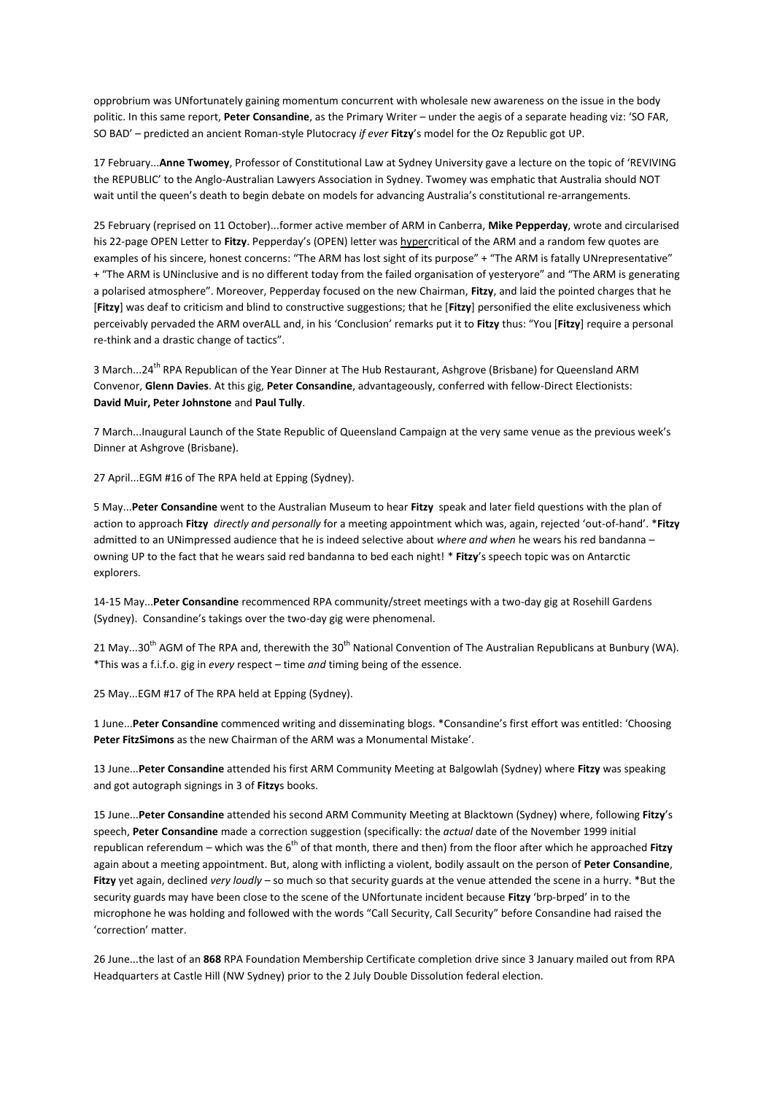opprobrium was UNfortunately gaining momentum concurrent with wholesale new awareness on the issue in the body politic. In this same report, **Peter Consandine**, as the Primary Writer – under the aegis of a separate heading viz: 'SO FAR, SO BAD' – predicted an ancient Roman-style Plutocracy *if ever* **Fitzy**'s model for the Oz Republic got UP.

17 February...**Anne Twomey**, Professor of Constitutional Law at Sydney University gave a lecture on the topic of 'REVIVING the REPUBLIC' to the Anglo-Australian Lawyers Association in Sydney. Twomey was emphatic that Australia should NOT wait until the queen's death to begin debate on models for advancing Australia's constitutional re-arrangements.

25 February (reprised on 11 October)...former active member of ARM in Canberra, **Mike Pepperday**, wrote and circularised his 22-page OPEN Letter to **Fitzy**. Pepperday's (OPEN) letter was hypercritical of the ARM and a random few quotes are examples of his sincere, honest concerns: "The ARM has lost sight of its purpose" + "The ARM is fatally UNrepresentative" + "The ARM is UNinclusive and is no different today from the failed organisation of yesteryore" and "The ARM is generating a polarised atmosphere". Moreover, Pepperday focused on the new Chairman, **Fitzy**, and laid the pointed charges that he [**Fitzy**] was deaf to criticism and blind to constructive suggestions; that he [**Fitzy**] personified the elite exclusiveness which perceivably pervaded the ARM overALL and, in his 'Conclusion' remarks put it to **Fitzy** thus: "You [**Fitzy**] require a personal re-think and a drastic change of tactics".

3 March...24<sup>th</sup> RPA Republican of the Year Dinner at The Hub Restaurant, Ashgrove (Brisbane) for Queensland ARM Convenor, **Glenn Davies**. At this gig, **Peter Consandine**, advantageously, conferred with fellow-Direct Electionists: **David Muir, Peter Johnstone** and **Paul Tully**.

7 March...Inaugural Launch of the State Republic of Queensland Campaign at the very same venue as the previous week's Dinner at Ashgrove (Brisbane).

27 April...EGM #16 of The RPA held at Epping (Sydney).

5 May...**Peter Consandine** went to the Australian Museum to hear **Fitzy** speak and later field questions with the plan of action to approach **Fitzy** *directly and personally* for a meeting appointment which was, again, rejected 'out-of-hand'. \***Fitzy** admitted to an UNimpressed audience that he is indeed selective about *where and when* he wears his red bandanna – owning UP to the fact that he wears said red bandanna to bed each night! \* **Fitzy**'s speech topic was on Antarctic explorers.

14-15 May...**Peter Consandine** recommenced RPA community/street meetings with a two-day gig at Rosehill Gardens (Sydney). Consandine's takings over the two-day gig were phenomenal.

21 May...30<sup>th</sup> AGM of The RPA and, therewith the 30<sup>th</sup> National Convention of The Australian Republicans at Bunbury (WA). \*This was a f.i.f.o. gig in *every* respect – time *and* timing being of the essence.

25 May...EGM #17 of The RPA held at Epping (Sydney).

1 June...**Peter Consandine** commenced writing and disseminating blogs. \*Consandine's first effort was entitled: 'Choosing **Peter FitzSimons** as the new Chairman of the ARM was a Monumental Mistake'.

13 June...**Peter Consandine** attended his first ARM Community Meeting at Balgowlah (Sydney) where **Fitzy** was speaking and got autograph signings in 3 of **Fitzy**s books.

15 June...**Peter Consandine** attended his second ARM Community Meeting at Blacktown (Sydney) where, following **Fitzy**'s speech, **Peter Consandine** made a correction suggestion (specifically: the *actual* date of the November 1999 initial republican referendum – which was the  $6<sup>th</sup>$  of that month, there and then) from the floor after which he approached Fitzy again about a meeting appointment. But, along with inflicting a violent, bodily assault on the person of **Peter Consandine**, **Fitzy** yet again, declined *very loudly* – so much so that security guards at the venue attended the scene in a hurry. \*But the security guards may have been close to the scene of the UNfortunate incident because **Fitzy** 'brp-brped' in to the microphone he was holding and followed with the words "Call Security, Call Security" before Consandine had raised the 'correction' matter.

26 June...the last of an **868** RPA Foundation Membership Certificate completion drive since 3 January mailed out from RPA Headquarters at Castle Hill (NW Sydney) prior to the 2 July Double Dissolution federal election.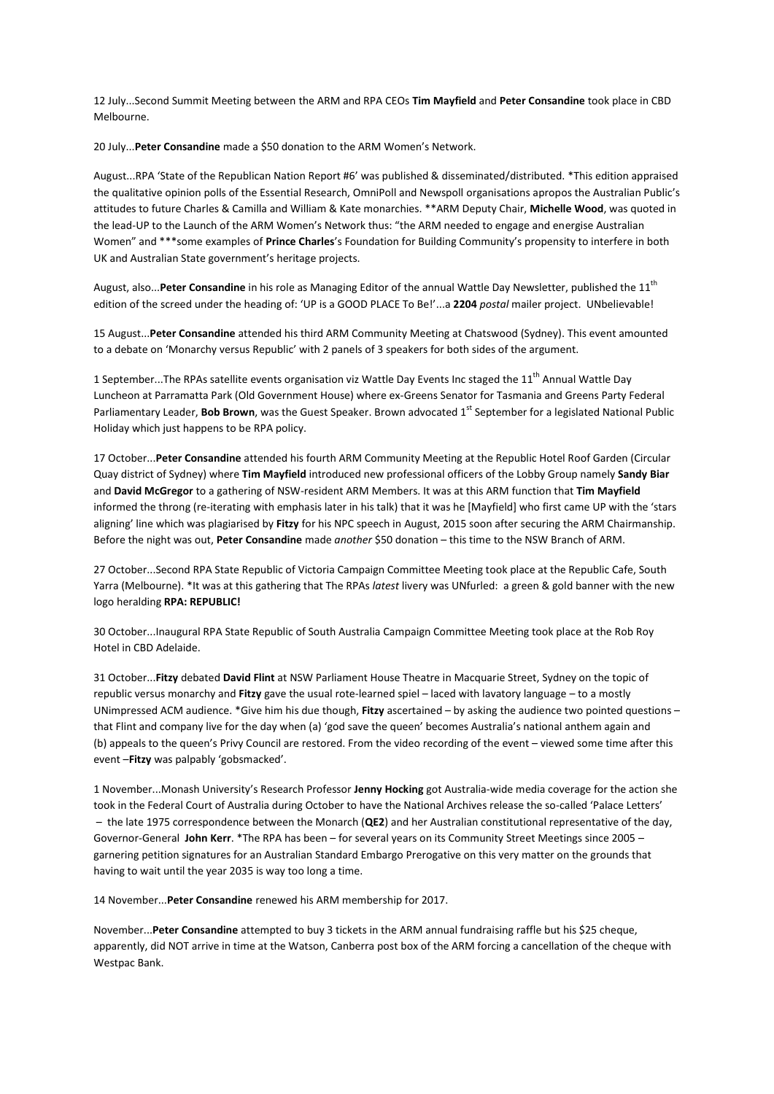12 July...Second Summit Meeting between the ARM and RPA CEOs **Tim Mayfield** and **Peter Consandine** took place in CBD Melbourne.

20 July...**Peter Consandine** made a \$50 donation to the ARM Women's Network.

August...RPA 'State of the Republican Nation Report #6' was published & disseminated/distributed. \*This edition appraised the qualitative opinion polls of the Essential Research, OmniPoll and Newspoll organisations apropos the Australian Public's attitudes to future Charles & Camilla and William & Kate monarchies. \*\*ARM Deputy Chair, **Michelle Wood**, was quoted in the lead-UP to the Launch of the ARM Women's Network thus: "the ARM needed to engage and energise Australian Women" and \*\*\*some examples of **Prince Charles**'s Foundation for Building Community's propensity to interfere in both UK and Australian State government's heritage projects.

August, also...**Peter Consandine** in his role as Managing Editor of the annual Wattle Day Newsletter, published the 11<sup>th</sup> edition of the screed under the heading of: 'UP is a GOOD PLACE To Be!'...a **2204** *postal* mailer project. UNbelievable!

15 August...**Peter Consandine** attended his third ARM Community Meeting at Chatswood (Sydney). This event amounted to a debate on 'Monarchy versus Republic' with 2 panels of 3 speakers for both sides of the argument.

1 September...The RPAs satellite events organisation viz Wattle Day Events Inc staged the 11<sup>th</sup> Annual Wattle Day Luncheon at Parramatta Park (Old Government House) where ex-Greens Senator for Tasmania and Greens Party Federal Parliamentary Leader, **Bob Brown**, was the Guest Speaker. Brown advocated 1<sup>st</sup> September for a legislated National Public Holiday which just happens to be RPA policy.

17 October...**Peter Consandine** attended his fourth ARM Community Meeting at the Republic Hotel Roof Garden (Circular Quay district of Sydney) where **Tim Mayfield** introduced new professional officers of the Lobby Group namely **Sandy Biar** and **David McGregor** to a gathering of NSW-resident ARM Members. It was at this ARM function that **Tim Mayfield** informed the throng (re-iterating with emphasis later in his talk) that it was he [Mayfield] who first came UP with the 'stars aligning' line which was plagiarised by **Fitzy** for his NPC speech in August, 2015 soon after securing the ARM Chairmanship. Before the night was out, **Peter Consandine** made *another* \$50 donation – this time to the NSW Branch of ARM.

27 October...Second RPA State Republic of Victoria Campaign Committee Meeting took place at the Republic Cafe, South Yarra (Melbourne). \*It was at this gathering that The RPAs *latest* livery was UNfurled: a green & gold banner with the new logo heralding **RPA: REPUBLIC!**

30 October...Inaugural RPA State Republic of South Australia Campaign Committee Meeting took place at the Rob Roy Hotel in CBD Adelaide.

31 October...**Fitzy** debated **David Flint** at NSW Parliament House Theatre in Macquarie Street, Sydney on the topic of republic versus monarchy and **Fitzy** gave the usual rote-learned spiel – laced with lavatory language – to a mostly UNimpressed ACM audience. \*Give him his due though, **Fitzy** ascertained – by asking the audience two pointed questions – that Flint and company live for the day when (a) 'god save the queen' becomes Australia's national anthem again and (b) appeals to the queen's Privy Council are restored. From the video recording of the event – viewed some time after this event –**Fitzy** was palpably 'gobsmacked'.

1 November...Monash University's Research Professor **Jenny Hocking** got Australia-wide media coverage for the action she took in the Federal Court of Australia during October to have the National Archives release the so-called 'Palace Letters' – the late 1975 correspondence between the Monarch (**QE2**) and her Australian constitutional representative of the day, Governor-General **John Kerr**. \*The RPA has been – for several years on its Community Street Meetings since 2005 – garnering petition signatures for an Australian Standard Embargo Prerogative on this very matter on the grounds that having to wait until the year 2035 is way too long a time.

14 November...**Peter Consandine** renewed his ARM membership for 2017.

November...**Peter Consandine** attempted to buy 3 tickets in the ARM annual fundraising raffle but his \$25 cheque, apparently, did NOT arrive in time at the Watson, Canberra post box of the ARM forcing a cancellation of the cheque with Westpac Bank.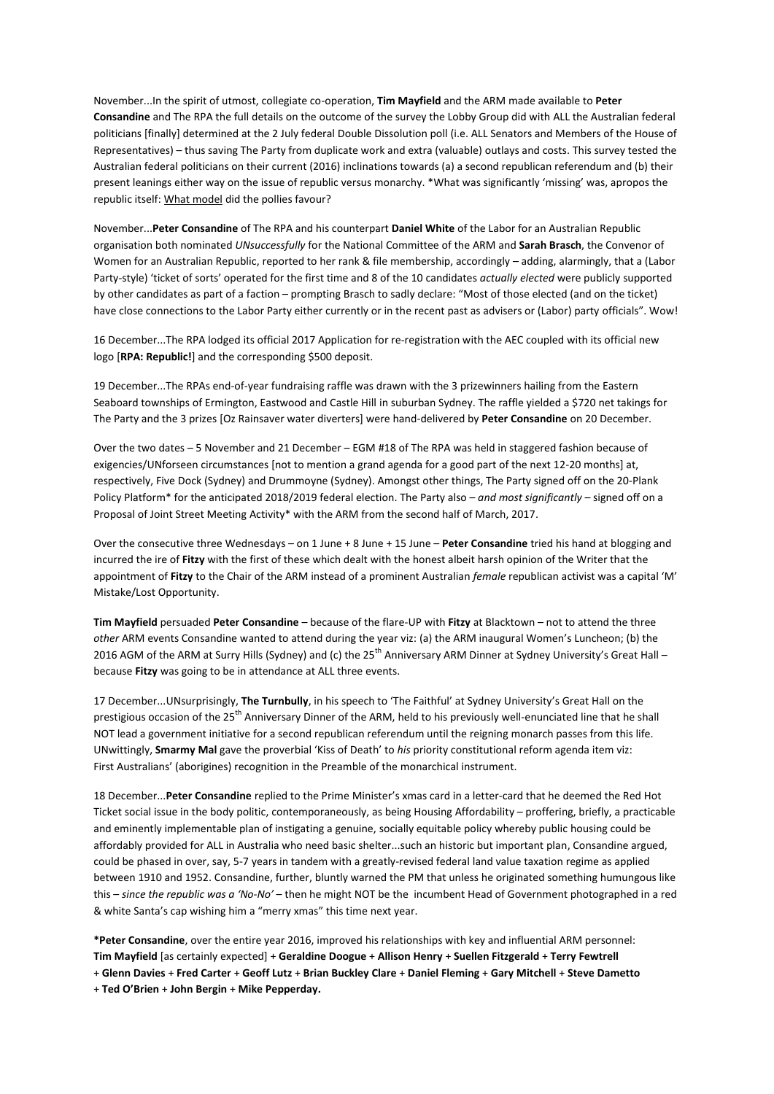November...In the spirit of utmost, collegiate co-operation, **Tim Mayfield** and the ARM made available to **Peter Consandine** and The RPA the full details on the outcome of the survey the Lobby Group did with ALL the Australian federal politicians [finally] determined at the 2 July federal Double Dissolution poll (i.e. ALL Senators and Members of the House of Representatives) – thus saving The Party from duplicate work and extra (valuable) outlays and costs. This survey tested the Australian federal politicians on their current (2016) inclinations towards (a) a second republican referendum and (b) their present leanings either way on the issue of republic versus monarchy. \*What was significantly 'missing' was, apropos the republic itself: What model did the pollies favour?

November...**Peter Consandine** of The RPA and his counterpart **Daniel White** of the Labor for an Australian Republic organisation both nominated *UNsuccessfully* for the National Committee of the ARM and **Sarah Brasch**, the Convenor of Women for an Australian Republic, reported to her rank & file membership, accordingly – adding, alarmingly, that a (Labor Party-style) 'ticket of sorts' operated for the first time and 8 of the 10 candidates *actually elected* were publicly supported by other candidates as part of a faction – prompting Brasch to sadly declare: "Most of those elected (and on the ticket) have close connections to the Labor Party either currently or in the recent past as advisers or (Labor) party officials". Wow!

16 December...The RPA lodged its official 2017 Application for re-registration with the AEC coupled with its official new logo [**RPA: Republic!**] and the corresponding \$500 deposit.

19 December...The RPAs end-of-year fundraising raffle was drawn with the 3 prizewinners hailing from the Eastern Seaboard townships of Ermington, Eastwood and Castle Hill in suburban Sydney. The raffle yielded a \$720 net takings for The Party and the 3 prizes [Oz Rainsaver water diverters] were hand-delivered by **Peter Consandine** on 20 December.

Over the two dates – 5 November and 21 December – EGM #18 of The RPA was held in staggered fashion because of exigencies/UNforseen circumstances [not to mention a grand agenda for a good part of the next 12-20 months] at, respectively, Five Dock (Sydney) and Drummoyne (Sydney). Amongst other things, The Party signed off on the 20-Plank Policy Platform\* for the anticipated 2018/2019 federal election. The Party also – *and most significantly* – signed off on a Proposal of Joint Street Meeting Activity\* with the ARM from the second half of March, 2017.

Over the consecutive three Wednesdays – on 1 June + 8 June + 15 June – **Peter Consandine** tried his hand at blogging and incurred the ire of **Fitzy** with the first of these which dealt with the honest albeit harsh opinion of the Writer that the appointment of **Fitzy** to the Chair of the ARM instead of a prominent Australian *female* republican activist was a capital 'M' Mistake/Lost Opportunity.

**Tim Mayfield** persuaded **Peter Consandine** – because of the flare-UP with **Fitzy** at Blacktown – not to attend the three *other* ARM events Consandine wanted to attend during the year viz: (a) the ARM inaugural Women's Luncheon; (b) the 2016 AGM of the ARM at Surry Hills (Sydney) and (c) the 25<sup>th</sup> Anniversary ARM Dinner at Sydney University's Great Hall – because **Fitzy** was going to be in attendance at ALL three events.

17 December...UNsurprisingly, **The Turnbully**, in his speech to 'The Faithful' at Sydney University's Great Hall on the prestigious occasion of the 25<sup>th</sup> Anniversary Dinner of the ARM, held to his previously well-enunciated line that he shall NOT lead a government initiative for a second republican referendum until the reigning monarch passes from this life. UNwittingly, **Smarmy Mal** gave the proverbial 'Kiss of Death' to *his* priority constitutional reform agenda item viz: First Australians' (aborigines) recognition in the Preamble of the monarchical instrument.

18 December...**Peter Consandine** replied to the Prime Minister's xmas card in a letter-card that he deemed the Red Hot Ticket social issue in the body politic, contemporaneously, as being Housing Affordability – proffering, briefly, a practicable and eminently implementable plan of instigating a genuine, socially equitable policy whereby public housing could be affordably provided for ALL in Australia who need basic shelter...such an historic but important plan, Consandine argued, could be phased in over, say, 5-7 years in tandem with a greatly-revised federal land value taxation regime as applied between 1910 and 1952. Consandine, further, bluntly warned the PM that unless he originated something humungous like this – *since the republic was a 'No-No'* – then he might NOT be the incumbent Head of Government photographed in a red & white Santa's cap wishing him a "merry xmas" this time next year.

**\*Peter Consandine**, over the entire year 2016, improved his relationships with key and influential ARM personnel: **Tim Mayfield** [as certainly expected] + **Geraldine Doogue** + **Allison Henry** + **Suellen Fitzgerald** + **Terry Fewtrell**  + **Glenn Davies** + **Fred Carter** + **Geoff Lutz** + **Brian Buckley Clare** + **Daniel Fleming** + **Gary Mitchell** + **Steve Dametto** + **Ted O'Brien** + **John Bergin** + **Mike Pepperday.**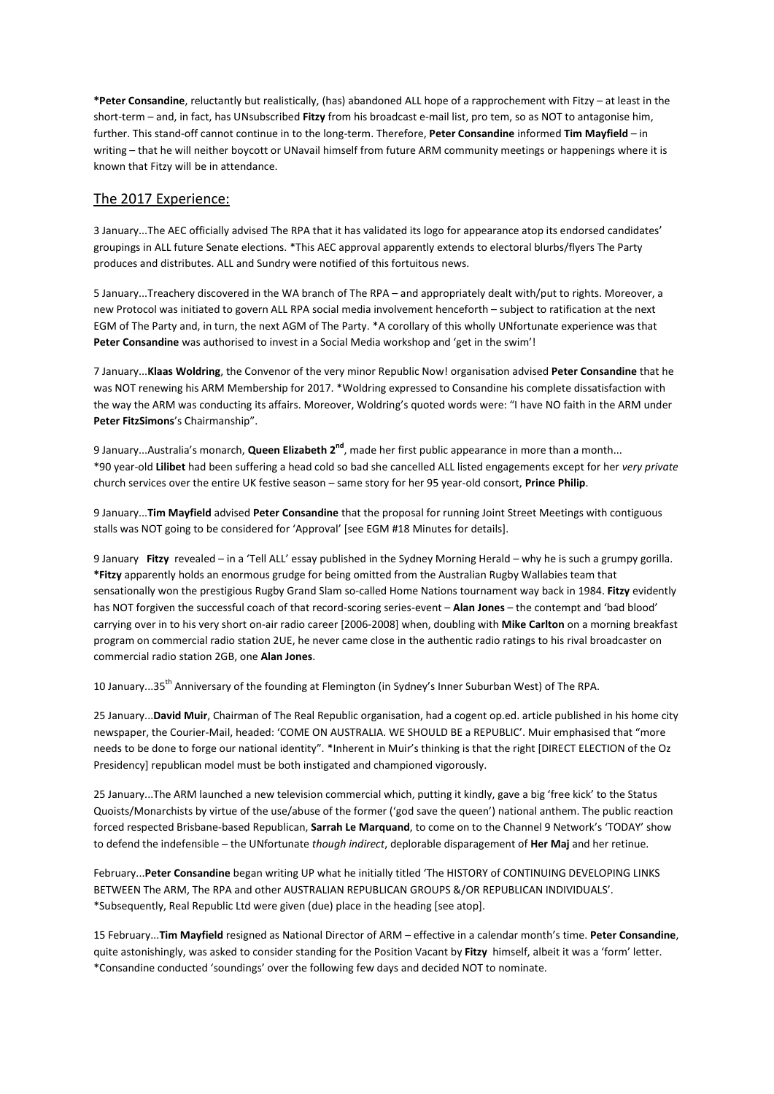**\*Peter Consandine**, reluctantly but realistically, (has) abandoned ALL hope of a rapprochement with Fitzy – at least in the short-term – and, in fact, has UNsubscribed **Fitzy** from his broadcast e-mail list, pro tem, so as NOT to antagonise him, further. This stand-off cannot continue in to the long-term. Therefore, **Peter Consandine** informed **Tim Mayfield** – in writing – that he will neither boycott or UNavail himself from future ARM community meetings or happenings where it is known that Fitzy will be in attendance.

### The 2017 Experience:

3 January...The AEC officially advised The RPA that it has validated its logo for appearance atop its endorsed candidates' groupings in ALL future Senate elections. \*This AEC approval apparently extends to electoral blurbs/flyers The Party produces and distributes. ALL and Sundry were notified of this fortuitous news.

5 January...Treachery discovered in the WA branch of The RPA – and appropriately dealt with/put to rights. Moreover, a new Protocol was initiated to govern ALL RPA social media involvement henceforth – subject to ratification at the next EGM of The Party and, in turn, the next AGM of The Party. \*A corollary of this wholly UNfortunate experience was that **Peter Consandine** was authorised to invest in a Social Media workshop and 'get in the swim'!

7 January...**Klaas Woldring**, the Convenor of the very minor Republic Now! organisation advised **Peter Consandine** that he was NOT renewing his ARM Membership for 2017. \*Woldring expressed to Consandine his complete dissatisfaction with the way the ARM was conducting its affairs. Moreover, Woldring's quoted words were: "I have NO faith in the ARM under **Peter FitzSimons**'s Chairmanship".

9 January...Australia's monarch, **Queen Elizabeth 2nd**, made her first public appearance in more than a month... \*90 year-old **Lilibet** had been suffering a head cold so bad she cancelled ALL listed engagements except for her *very private* church services over the entire UK festive season – same story for her 95 year-old consort, **Prince Philip**.

9 January...**Tim Mayfield** advised **Peter Consandine** that the proposal for running Joint Street Meetings with contiguous stalls was NOT going to be considered for 'Approval' [see EGM #18 Minutes for details].

9 January **Fitzy** revealed – in a 'Tell ALL' essay published in the Sydney Morning Herald – why he is such a grumpy gorilla. **\*Fitzy** apparently holds an enormous grudge for being omitted from the Australian Rugby Wallabies team that sensationally won the prestigious Rugby Grand Slam so-called Home Nations tournament way back in 1984. **Fitzy** evidently has NOT forgiven the successful coach of that record-scoring series-event – **Alan Jones** – the contempt and 'bad blood' carrying over in to his very short on-air radio career [2006-2008] when, doubling with **Mike Carlton** on a morning breakfast program on commercial radio station 2UE, he never came close in the authentic radio ratings to his rival broadcaster on commercial radio station 2GB, one **Alan Jones**.

10 January...35th Anniversary of the founding at Flemington (in Sydney's Inner Suburban West) of The RPA.

25 January...**David Muir**, Chairman of The Real Republic organisation, had a cogent op.ed. article published in his home city newspaper, the Courier-Mail, headed: 'COME ON AUSTRALIA. WE SHOULD BE a REPUBLIC'. Muir emphasised that "more needs to be done to forge our national identity". \*Inherent in Muir's thinking is that the right [DIRECT ELECTION of the Oz Presidency] republican model must be both instigated and championed vigorously.

25 January...The ARM launched a new television commercial which, putting it kindly, gave a big 'free kick' to the Status Quoists/Monarchists by virtue of the use/abuse of the former ('god save the queen') national anthem. The public reaction forced respected Brisbane-based Republican, **Sarrah Le Marquand**, to come on to the Channel 9 Network's 'TODAY' show to defend the indefensible – the UNfortunate *though indirect*, deplorable disparagement of **Her Maj** and her retinue.

February...**Peter Consandine** began writing UP what he initially titled 'The HISTORY of CONTINUING DEVELOPING LINKS BETWEEN The ARM, The RPA and other AUSTRALIAN REPUBLICAN GROUPS &/OR REPUBLICAN INDIVIDUALS'. \*Subsequently, Real Republic Ltd were given (due) place in the heading [see atop].

15 February...**Tim Mayfield** resigned as National Director of ARM – effective in a calendar month's time. **Peter Consandine**, quite astonishingly, was asked to consider standing for the Position Vacant by **Fitzy** himself, albeit it was a 'form' letter. \*Consandine conducted 'soundings' over the following few days and decided NOT to nominate.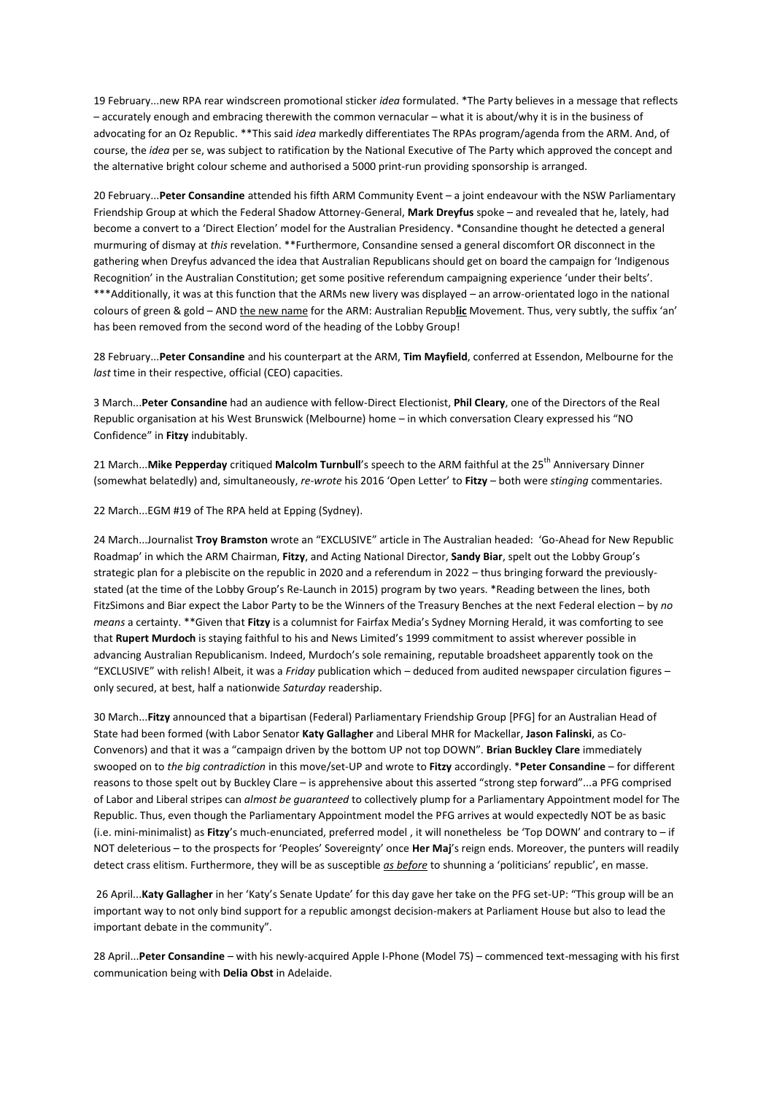19 February...new RPA rear windscreen promotional sticker *idea* formulated. \*The Party believes in a message that reflects – accurately enough and embracing therewith the common vernacular – what it is about/why it is in the business of advocating for an Oz Republic. \*\*This said *idea* markedly differentiates The RPAs program/agenda from the ARM. And, of course, the *idea* per se, was subject to ratification by the National Executive of The Party which approved the concept and the alternative bright colour scheme and authorised a 5000 print-run providing sponsorship is arranged.

20 February...**Peter Consandine** attended his fifth ARM Community Event – a joint endeavour with the NSW Parliamentary Friendship Group at which the Federal Shadow Attorney-General, **Mark Dreyfus** spoke – and revealed that he, lately, had become a convert to a 'Direct Election' model for the Australian Presidency. \*Consandine thought he detected a general murmuring of dismay at *this* revelation. \*\*Furthermore, Consandine sensed a general discomfort OR disconnect in the gathering when Dreyfus advanced the idea that Australian Republicans should get on board the campaign for 'Indigenous Recognition' in the Australian Constitution; get some positive referendum campaigning experience 'under their belts'. \*\*\*Additionally, it was at this function that the ARMs new livery was displayed – an arrow-orientated logo in the national colours of green & gold – AND the new name for the ARM: Australian Repub**lic** Movement. Thus, very subtly, the suffix 'an' has been removed from the second word of the heading of the Lobby Group!

28 February...**Peter Consandine** and his counterpart at the ARM, **Tim Mayfield**, conferred at Essendon, Melbourne for the *last* time in their respective, official (CEO) capacities.

3 March...**Peter Consandine** had an audience with fellow-Direct Electionist, **Phil Cleary**, one of the Directors of the Real Republic organisation at his West Brunswick (Melbourne) home – in which conversation Cleary expressed his "NO Confidence" in **Fitzy** indubitably.

21 March... Mike Pepperday critiqued Malcolm Turnbull's speech to the ARM faithful at the 25<sup>th</sup> Anniversary Dinner (somewhat belatedly) and, simultaneously, *re-wrote* his 2016 'Open Letter' to **Fitzy** – both were *stinging* commentaries.

22 March...EGM #19 of The RPA held at Epping (Sydney).

24 March...Journalist **Troy Bramston** wrote an "EXCLUSIVE" article in The Australian headed: 'Go-Ahead for New Republic Roadmap' in which the ARM Chairman, **Fitzy**, and Acting National Director, **Sandy Biar**, spelt out the Lobby Group's strategic plan for a plebiscite on the republic in 2020 and a referendum in 2022 – thus bringing forward the previouslystated (at the time of the Lobby Group's Re-Launch in 2015) program by two years. \*Reading between the lines, both FitzSimons and Biar expect the Labor Party to be the Winners of the Treasury Benches at the next Federal election – by *no means* a certainty. \*\*Given that **Fitzy** is a columnist for Fairfax Media's Sydney Morning Herald, it was comforting to see that **Rupert Murdoch** is staying faithful to his and News Limited's 1999 commitment to assist wherever possible in advancing Australian Republicanism. Indeed, Murdoch's sole remaining, reputable broadsheet apparently took on the "EXCLUSIVE" with relish! Albeit, it was a *Friday* publication which – deduced from audited newspaper circulation figures – only secured, at best, half a nationwide *Saturday* readership.

30 March...**Fitzy** announced that a bipartisan (Federal) Parliamentary Friendship Group [PFG] for an Australian Head of State had been formed (with Labor Senator **Katy Gallagher** and Liberal MHR for Mackellar, **Jason Falinski**, as Co-Convenors) and that it was a "campaign driven by the bottom UP not top DOWN". **Brian Buckley Clare** immediately swooped on to *the big contradiction* in this move/set-UP and wrote to **Fitzy** accordingly. \***Peter Consandine** – for different reasons to those spelt out by Buckley Clare – is apprehensive about this asserted "strong step forward"...a PFG comprised of Labor and Liberal stripes can *almost be guaranteed* to collectively plump for a Parliamentary Appointment model for The Republic. Thus, even though the Parliamentary Appointment model the PFG arrives at would expectedly NOT be as basic (i.e. mini-minimalist) as **Fitzy**'s much-enunciated, preferred model , it will nonetheless be 'Top DOWN' and contrary to – if NOT deleterious – to the prospects for 'Peoples' Sovereignty' once **Her Maj**'s reign ends. Moreover, the punters will readily detect crass elitism. Furthermore, they will be as susceptible *as before* to shunning a 'politicians' republic', en masse.

26 April...**Katy Gallagher** in her 'Katy's Senate Update' for this day gave her take on the PFG set-UP: "This group will be an important way to not only bind support for a republic amongst decision-makers at Parliament House but also to lead the important debate in the community".

28 April...**Peter Consandine** – with his newly-acquired Apple I-Phone (Model 7S) – commenced text-messaging with his first communication being with **Delia Obst** in Adelaide.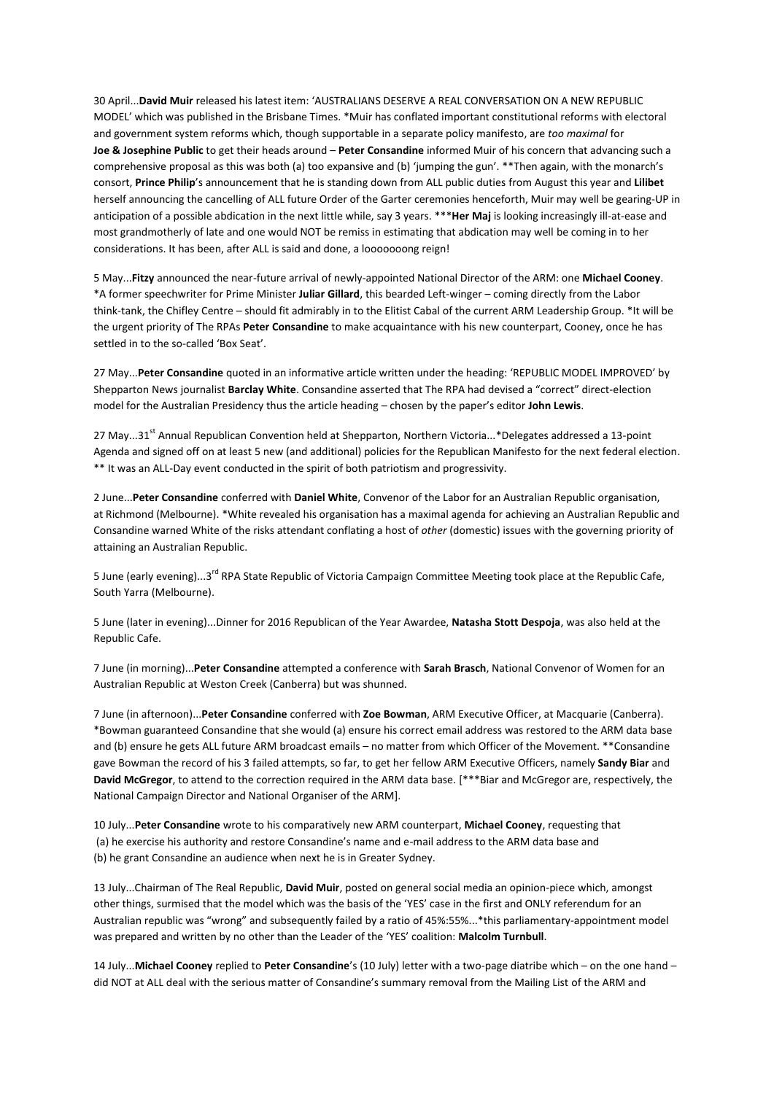30 April...**David Muir** released his latest item: 'AUSTRALIANS DESERVE A REAL CONVERSATION ON A NEW REPUBLIC MODEL' which was published in the Brisbane Times. \*Muir has conflated important constitutional reforms with electoral and government system reforms which, though supportable in a separate policy manifesto, are *too maximal* for **Joe & Josephine Public** to get their heads around – **Peter Consandine** informed Muir of his concern that advancing such a comprehensive proposal as this was both (a) too expansive and (b) 'jumping the gun'. \*\*Then again, with the monarch's consort, **Prince Philip**'s announcement that he is standing down from ALL public duties from August this year and **Lilibet**  herself announcing the cancelling of ALL future Order of the Garter ceremonies henceforth, Muir may well be gearing-UP in anticipation of a possible abdication in the next little while, say 3 years. \*\*\***Her Maj** is looking increasingly ill-at-ease and most grandmotherly of late and one would NOT be remiss in estimating that abdication may well be coming in to her considerations. It has been, after ALL is said and done, a looooooong reign!

5 May...**Fitzy** announced the near-future arrival of newly-appointed National Director of the ARM: one **Michael Cooney**. \*A former speechwriter for Prime Minister **Juliar Gillard**, this bearded Left-winger – coming directly from the Labor think-tank, the Chifley Centre – should fit admirably in to the Elitist Cabal of the current ARM Leadership Group. \*It will be the urgent priority of The RPAs **Peter Consandine** to make acquaintance with his new counterpart, Cooney, once he has settled in to the so-called 'Box Seat'.

27 May...**Peter Consandine** quoted in an informative article written under the heading: 'REPUBLIC MODEL IMPROVED' by Shepparton News journalist **Barclay White**. Consandine asserted that The RPA had devised a "correct" direct-election model for the Australian Presidency thus the article heading – chosen by the paper's editor **John Lewis**.

27 May...31<sup>st</sup> Annual Republican Convention held at Shepparton, Northern Victoria...\*Delegates addressed a 13-point Agenda and signed off on at least 5 new (and additional) policies for the Republican Manifesto for the next federal election. \*\* It was an ALL-Day event conducted in the spirit of both patriotism and progressivity.

2 June...**Peter Consandine** conferred with **Daniel White**, Convenor of the Labor for an Australian Republic organisation, at Richmond (Melbourne). \*White revealed his organisation has a maximal agenda for achieving an Australian Republic and Consandine warned White of the risks attendant conflating a host of *other* (domestic) issues with the governing priority of attaining an Australian Republic.

5 June (early evening)...3<sup>rd</sup> RPA State Republic of Victoria Campaign Committee Meeting took place at the Republic Cafe, South Yarra (Melbourne).

5 June (later in evening)...Dinner for 2016 Republican of the Year Awardee, **Natasha Stott Despoja**, was also held at the Republic Cafe.

7 June (in morning)...**Peter Consandine** attempted a conference with **Sarah Brasch**, National Convenor of Women for an Australian Republic at Weston Creek (Canberra) but was shunned.

7 June (in afternoon)...**Peter Consandine** conferred with **Zoe Bowman**, ARM Executive Officer, at Macquarie (Canberra). \*Bowman guaranteed Consandine that she would (a) ensure his correct email address was restored to the ARM data base and (b) ensure he gets ALL future ARM broadcast emails – no matter from which Officer of the Movement. \*\*Consandine gave Bowman the record of his 3 failed attempts, so far, to get her fellow ARM Executive Officers, namely **Sandy Biar** and **David McGregor**, to attend to the correction required in the ARM data base. [\*\*\*Biar and McGregor are, respectively, the National Campaign Director and National Organiser of the ARM].

10 July...**Peter Consandine** wrote to his comparatively new ARM counterpart, **Michael Cooney**, requesting that (a) he exercise his authority and restore Consandine's name and e-mail address to the ARM data base and (b) he grant Consandine an audience when next he is in Greater Sydney.

13 July...Chairman of The Real Republic, **David Muir**, posted on general social media an opinion-piece which, amongst other things, surmised that the model which was the basis of the 'YES' case in the first and ONLY referendum for an Australian republic was "wrong" and subsequently failed by a ratio of 45%:55%...\*this parliamentary-appointment model was prepared and written by no other than the Leader of the 'YES' coalition: **Malcolm Turnbull**.

14 July...**Michael Cooney** replied to **Peter Consandine**'s (10 July) letter with a two-page diatribe which – on the one hand – did NOT at ALL deal with the serious matter of Consandine's summary removal from the Mailing List of the ARM and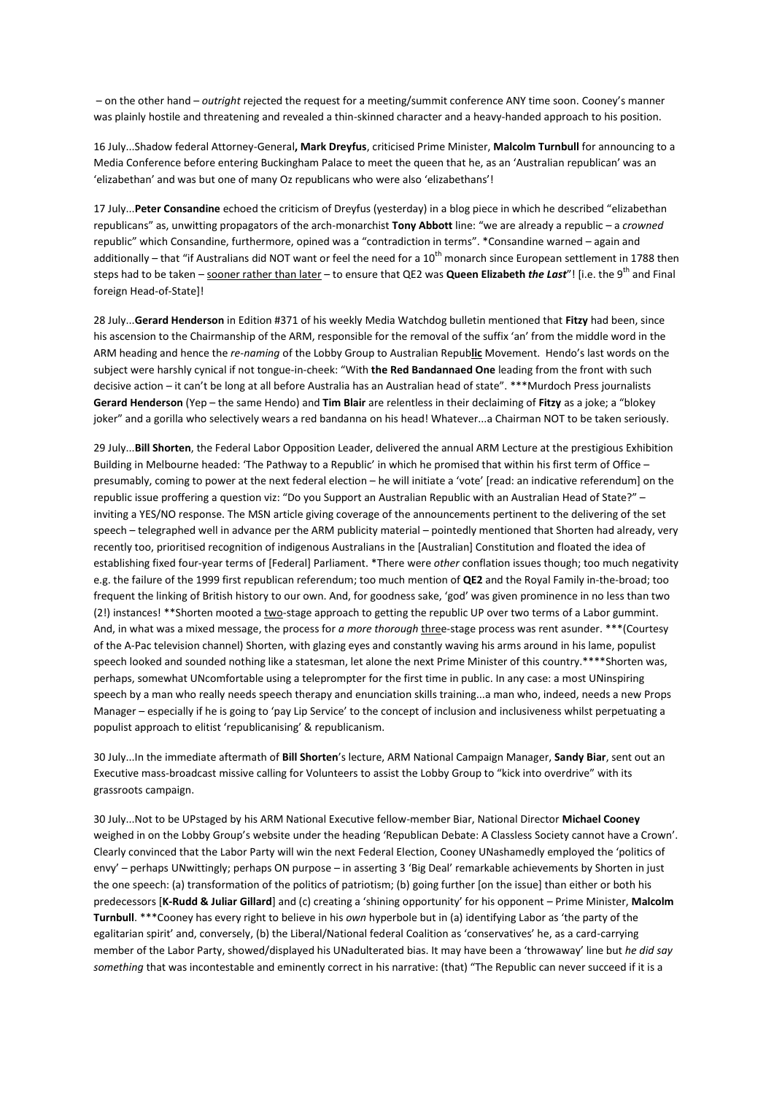– on the other hand – *outright* rejected the request for a meeting/summit conference ANY time soon. Cooney's manner was plainly hostile and threatening and revealed a thin-skinned character and a heavy-handed approach to his position.

16 July...Shadow federal Attorney-General**, Mark Dreyfus**, criticised Prime Minister, **Malcolm Turnbull** for announcing to a Media Conference before entering Buckingham Palace to meet the queen that he, as an 'Australian republican' was an 'elizabethan' and was but one of many Oz republicans who were also 'elizabethans'!

17 July...**Peter Consandine** echoed the criticism of Dreyfus (yesterday) in a blog piece in which he described "elizabethan republicans" as, unwitting propagators of the arch-monarchist **Tony Abbott** line: "we are already a republic – a *crowned*  republic" which Consandine, furthermore, opined was a "contradiction in terms". \*Consandine warned – again and additionally – that "if Australians did NOT want or feel the need for a  $10^{th}$  monarch since European settlement in 1788 then steps had to be taken – sooner rather than later – to ensure that QE2 was **Queen Elizabeth** *the Last*"! [i.e. the 9<sup>th</sup> and Final foreign Head-of-State]!

28 July...**Gerard Henderson** in Edition #371 of his weekly Media Watchdog bulletin mentioned that **Fitzy** had been, since his ascension to the Chairmanship of the ARM, responsible for the removal of the suffix 'an' from the middle word in the ARM heading and hence the *re-naming* of the Lobby Group to Australian Repub**lic** Movement. Hendo's last words on the subject were harshly cynical if not tongue-in-cheek: "With **the Red Bandannaed One** leading from the front with such decisive action – it can't be long at all before Australia has an Australian head of state". \*\*\*Murdoch Press journalists **Gerard Henderson** (Yep – the same Hendo) and **Tim Blair** are relentless in their declaiming of **Fitzy** as a joke; a "blokey joker" and a gorilla who selectively wears a red bandanna on his head! Whatever...a Chairman NOT to be taken seriously.

29 July...**Bill Shorten**, the Federal Labor Opposition Leader, delivered the annual ARM Lecture at the prestigious Exhibition Building in Melbourne headed: 'The Pathway to a Republic' in which he promised that within his first term of Office – presumably, coming to power at the next federal election – he will initiate a 'vote' [read: an indicative referendum] on the republic issue proffering a question viz: "Do you Support an Australian Republic with an Australian Head of State?" – inviting a YES/NO response. The MSN article giving coverage of the announcements pertinent to the delivering of the set speech – telegraphed well in advance per the ARM publicity material – pointedly mentioned that Shorten had already, very recently too, prioritised recognition of indigenous Australians in the [Australian] Constitution and floated the idea of establishing fixed four-year terms of [Federal] Parliament. \*There were *other* conflation issues though; too much negativity e.g. the failure of the 1999 first republican referendum; too much mention of **QE2** and the Royal Family in-the-broad; too frequent the linking of British history to our own. And, for goodness sake, 'god' was given prominence in no less than two (2!) instances! \*\*Shorten mooted a two-stage approach to getting the republic UP over two terms of a Labor gummint. And, in what was a mixed message, the process for *a more thorough* three-stage process was rent asunder. \*\*\*(Courtesy of the A-Pac television channel) Shorten, with glazing eyes and constantly waving his arms around in his lame, populist speech looked and sounded nothing like a statesman, let alone the next Prime Minister of this country.\*\*\*\*Shorten was, perhaps, somewhat UNcomfortable using a teleprompter for the first time in public. In any case: a most UNinspiring speech by a man who really needs speech therapy and enunciation skills training...a man who, indeed, needs a new Props Manager – especially if he is going to 'pay Lip Service' to the concept of inclusion and inclusiveness whilst perpetuating a populist approach to elitist 'republicanising' & republicanism.

30 July...In the immediate aftermath of **Bill Shorten**'s lecture, ARM National Campaign Manager, **Sandy Biar**, sent out an Executive mass-broadcast missive calling for Volunteers to assist the Lobby Group to "kick into overdrive" with its grassroots campaign.

30 July...Not to be UPstaged by his ARM National Executive fellow-member Biar, National Director **Michael Cooney** weighed in on the Lobby Group's website under the heading 'Republican Debate: A Classless Society cannot have a Crown'. Clearly convinced that the Labor Party will win the next Federal Election, Cooney UNashamedly employed the 'politics of envy' – perhaps UNwittingly; perhaps ON purpose – in asserting 3 'Big Deal' remarkable achievements by Shorten in just the one speech: (a) transformation of the politics of patriotism; (b) going further [on the issue] than either or both his predecessors [**K-Rudd & Juliar Gillard**] and (c) creating a 'shining opportunity' for his opponent – Prime Minister, **Malcolm Turnbull**. \*\*\*Cooney has every right to believe in his *own* hyperbole but in (a) identifying Labor as 'the party of the egalitarian spirit' and, conversely, (b) the Liberal/National federal Coalition as 'conservatives' he, as a card-carrying member of the Labor Party, showed/displayed his UNadulterated bias. It may have been a 'throwaway' line but *he did say something* that was incontestable and eminently correct in his narrative: (that) "The Republic can never succeed if it is a